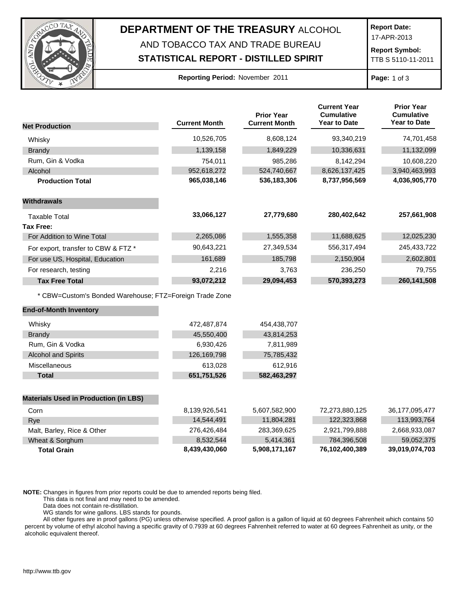

# **DEPARTMENT OF THE TREASURY** ALCOHOL AND TOBACCO TAX AND TRADE BUREAU

## **STATISTICAL REPORT - DISTILLED SPIRIT**

**Report Date:**

17-APR-2013

**Report Symbol:** TTB S 5110-11-2011

### **Reporting Period:** November 2011 **Page:** 1 of 3

|                                                         | <b>Current Month</b> | <b>Prior Year</b><br><b>Current Month</b> | <b>Current Year</b><br><b>Cumulative</b><br><b>Year to Date</b> | <b>Prior Year</b><br><b>Cumulative</b><br><b>Year to Date</b> |
|---------------------------------------------------------|----------------------|-------------------------------------------|-----------------------------------------------------------------|---------------------------------------------------------------|
| <b>Net Production</b>                                   |                      |                                           |                                                                 |                                                               |
| Whisky                                                  | 10,526,705           | 8,608,124                                 | 93,340,219                                                      | 74,701,458                                                    |
| <b>Brandy</b>                                           | 1,139,158            | 1,849,229                                 | 10,336,631                                                      | 11,132,099                                                    |
| Rum, Gin & Vodka                                        | 754,011              | 985,286                                   | 8,142,294                                                       | 10,608,220                                                    |
| Alcohol                                                 | 952,618,272          | 524,740,667                               | 8,626,137,425                                                   | 3,940,463,993                                                 |
| <b>Production Total</b>                                 | 965,038,146          | 536,183,306                               | 8,737,956,569                                                   | 4,036,905,770                                                 |
| <b>Withdrawals</b>                                      |                      |                                           |                                                                 |                                                               |
| <b>Taxable Total</b>                                    | 33,066,127           | 27,779,680                                | 280,402,642                                                     | 257,661,908                                                   |
| <b>Tax Free:</b>                                        |                      |                                           |                                                                 |                                                               |
| For Addition to Wine Total                              | 2,265,086            | 1,555,358                                 | 11,688,625                                                      | 12,025,230                                                    |
| For export, transfer to CBW & FTZ *                     | 90,643,221           | 27,349,534                                | 556,317,494                                                     | 245,433,722                                                   |
| For use US, Hospital, Education                         | 161,689              | 185,798                                   | 2,150,904                                                       | 2,602,801                                                     |
| For research, testing                                   | 2,216                | 3,763                                     | 236,250                                                         | 79,755                                                        |
| <b>Tax Free Total</b>                                   | 93,072,212           | 29,094,453                                | 570,393,273                                                     | 260,141,508                                                   |
| * CBW=Custom's Bonded Warehouse; FTZ=Foreign Trade Zone |                      |                                           |                                                                 |                                                               |
| <b>End-of-Month Inventory</b>                           |                      |                                           |                                                                 |                                                               |
| Whisky                                                  | 472,487,874          | 454,438,707                               |                                                                 |                                                               |
| <b>Brandy</b>                                           | 45,550,400           | 43,814,253                                |                                                                 |                                                               |
| Rum, Gin & Vodka                                        | 6,930,426            | 7,811,989                                 |                                                                 |                                                               |
| <b>Alcohol and Spirits</b>                              | 126,169,798          | 75,785,432                                |                                                                 |                                                               |
| Miscellaneous                                           | 613,028              | 612,916                                   |                                                                 |                                                               |
| <b>Total</b>                                            | 651,751,526          | 582,463,297                               |                                                                 |                                                               |
| <b>Materials Used in Production (in LBS)</b>            |                      |                                           |                                                                 |                                                               |
| Corn                                                    | 8,139,926,541        | 5,607,582,900                             | 72,273,880,125                                                  | 36,177,095,477                                                |
| Rye                                                     | 14,544,491           | 11,804,281                                | 122,323,868                                                     | 113,993,764                                                   |
| Malt, Barley, Rice & Other                              | 276,426,484          | 283,369,625                               | 2,921,799,888                                                   | 2,668,933,087                                                 |
| Wheat & Sorghum                                         | 8,532,544            | 5,414,361                                 | 784,396,508                                                     | 59,052,375                                                    |
| <b>Total Grain</b>                                      | 8,439,430,060        | 5,908,171,167                             | 76,102,400,389                                                  | 39,019,074,703                                                |

**NOTE:** Changes in figures from prior reports could be due to amended reports being filed.

This data is not final and may need to be amended.

Data does not contain re-distillation.

WG stands for wine gallons. LBS stands for pounds.

All other figures are in proof gallons (PG) unless otherwise specified. A proof gallon is a gallon of liquid at 60 degrees Fahrenheit which contains 50 percent by volume of ethyl alcohol having a specific gravity of 0.7939 at 60 degrees Fahrenheit referred to water at 60 degrees Fahrenheit as unity, or the alcoholic equivalent thereof.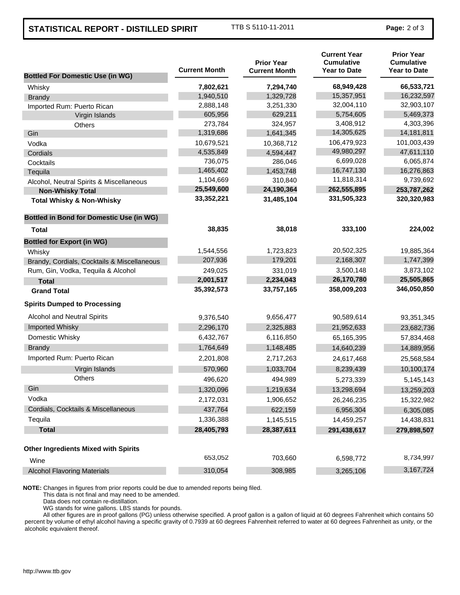## **STATISTICAL REPORT - DISTILLED SPIRIT** TTB S 5110-11-2011 **Page:** 2 of 3

| <b>Bottled For Domestic Use (in WG)</b>         | <b>Current Month</b> | <b>Prior Year</b><br><b>Current Month</b> | <b>Current Year</b><br><b>Cumulative</b><br><b>Year to Date</b> | <b>Prior Year</b><br><b>Cumulative</b><br><b>Year to Date</b> |
|-------------------------------------------------|----------------------|-------------------------------------------|-----------------------------------------------------------------|---------------------------------------------------------------|
| Whisky                                          | 7,802,621            | 7,294,740                                 | 68,949,428                                                      | 66,533,721                                                    |
| <b>Brandy</b>                                   | 1,940,510            | 1,329,728                                 | 15,357,951                                                      | 16,232,597                                                    |
| Imported Rum: Puerto Rican                      | 2,888,148            | 3,251,330                                 | 32,004,110                                                      | 32,903,107                                                    |
| Virgin Islands                                  | 605,956              | 629,211                                   | 5,754,605                                                       | 5,469,373                                                     |
| Others                                          | 273,784              | 324,957                                   | 3,408,912                                                       | 4,303,396                                                     |
| Gin                                             | 1,319,686            | 1,641,345                                 | 14,305,625                                                      | 14, 181, 811                                                  |
| Vodka                                           | 10,679,521           | 10,368,712                                | 106,479,923                                                     | 101,003,439                                                   |
| Cordials                                        | 4,535,849            | 4,594,447                                 | 49,980,297                                                      | 47,611,110                                                    |
| Cocktails                                       | 736,075              | 286,046                                   | 6,699,028                                                       | 6,065,874                                                     |
| Tequila                                         | 1,465,402            | 1,453,748                                 | 16,747,130                                                      | 16,276,863                                                    |
| Alcohol, Neutral Spirits & Miscellaneous        | 1,104,669            | 310,840                                   | 11,818,314                                                      | 9,739,692                                                     |
| <b>Non-Whisky Total</b>                         | 25,549,600           | 24,190,364                                | 262,555,895                                                     | 253,787,262                                                   |
| <b>Total Whisky &amp; Non-Whisky</b>            | 33,352,221           | 31,485,104                                | 331,505,323                                                     | 320,320,983                                                   |
| <b>Bottled in Bond for Domestic Use (in WG)</b> |                      |                                           |                                                                 |                                                               |
| Total                                           | 38,835               | 38,018                                    | 333,100                                                         | 224,002                                                       |
| <b>Bottled for Export (in WG)</b>               |                      |                                           |                                                                 |                                                               |
| Whisky                                          | 1,544,556            | 1,723,823                                 | 20,502,325                                                      | 19,885,364                                                    |
| Brandy, Cordials, Cocktails & Miscellaneous     | 207,936              | 179,201                                   | 2,168,307                                                       | 1,747,399                                                     |
| Rum, Gin, Vodka, Tequila & Alcohol              | 249,025              | 331,019                                   | 3,500,148                                                       | 3,873,102                                                     |
| <b>Total</b>                                    | 2,001,517            | 2,234,043                                 | 26,170,780                                                      | 25,505,865                                                    |
| <b>Grand Total</b>                              | 35,392,573           | 33,757,165                                | 358,009,203                                                     | 346,050,850                                                   |
| <b>Spirits Dumped to Processing</b>             |                      |                                           |                                                                 |                                                               |
| Alcohol and Neutral Spirits                     | 9,376,540            | 9,656,477                                 | 90,589,614                                                      | 93,351,345                                                    |
| Imported Whisky                                 | 2,296,170            | 2,325,883                                 | 21,952,633                                                      | 23,682,736                                                    |
| Domestic Whisky                                 | 6,432,767            | 6,116,850                                 | 65,165,395                                                      | 57,834,468                                                    |
| <b>Brandy</b>                                   | 1,764,649            | 1,148,485                                 | 14,640,239                                                      | 14,889,956                                                    |
| Imported Rum: Puerto Rican                      | 2,201,808            | 2,717,263                                 | 24,617,468                                                      | 25,568,584                                                    |
| Virgin Islands                                  | 570,960              | 1,033,704                                 | 8,239,439                                                       | 10,100,174                                                    |
| <b>Others</b>                                   | 496,620              | 494,989                                   | 5,273,339                                                       | 5,145,143                                                     |
| Gin                                             | 1,320,096            | 1,219,634                                 | 13,298,694                                                      | 13,259,203                                                    |
| Vodka                                           | 2,172,031            | 1,906,652                                 | 26,246,235                                                      | 15,322,982                                                    |
| Cordials, Cocktails & Miscellaneous             | 437,764              | 622,159                                   | 6,956,304                                                       | 6,305,085                                                     |
| Tequila                                         | 1,336,388            | 1,145,515                                 | 14,459,257                                                      | 14,438,831                                                    |
| <b>Total</b>                                    | 28,405,793           | 28,387,611                                | 291,438,617                                                     | 279,898,507                                                   |
| <b>Other Ingredients Mixed with Spirits</b>     |                      |                                           |                                                                 |                                                               |
| Wine                                            | 653,052              | 703,660                                   | 6,598,772                                                       | 8,734,997                                                     |
| <b>Alcohol Flavoring Materials</b>              | 310,054              | 308,985                                   | 3,265,106                                                       | 3,167,724                                                     |

**NOTE:** Changes in figures from prior reports could be due to amended reports being filed.

This data is not final and may need to be amended.

Data does not contain re-distillation.

WG stands for wine gallons. LBS stands for pounds.

All other figures are in proof gallons (PG) unless otherwise specified. A proof gallon is a gallon of liquid at 60 degrees Fahrenheit which contains 50 percent by volume of ethyl alcohol having a specific gravity of 0.7939 at 60 degrees Fahrenheit referred to water at 60 degrees Fahrenheit as unity, or the alcoholic equivalent thereof.